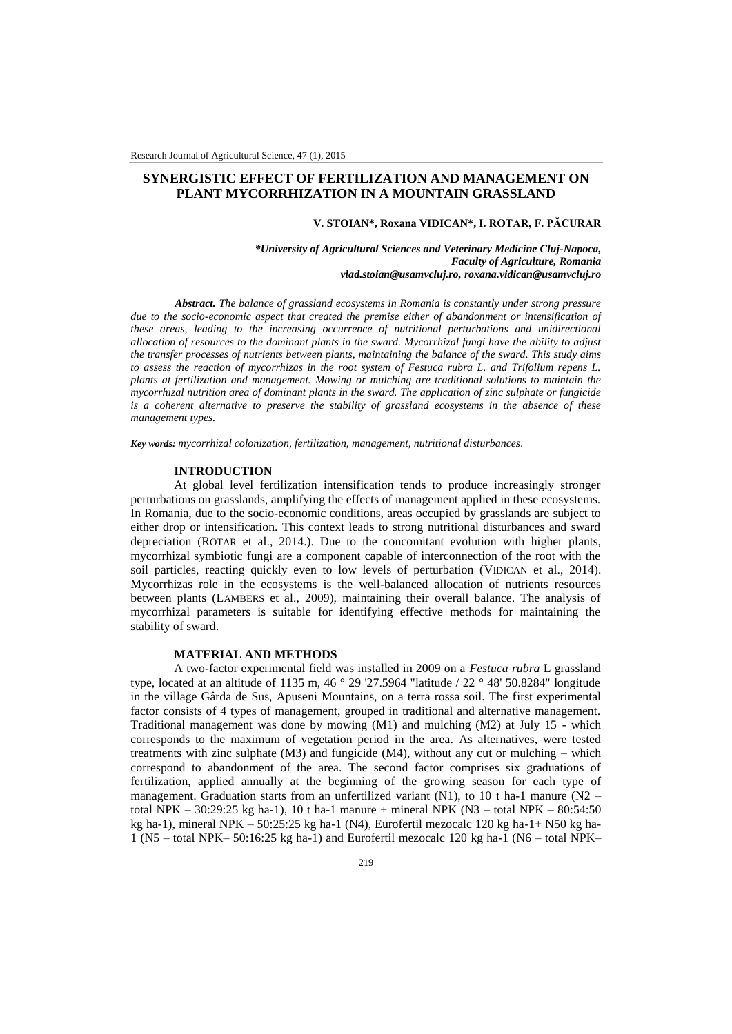# **SYNERGISTIC EFFECT OF FERTILIZATION AND MANAGEMENT ON PLANT MYCORRHIZATION IN A MOUNTAIN GRASSLAND**

#### **V. STOIAN\*, Roxana VIDICAN\*, I. ROTAR, F. PĂCURAR**

*\*University of Agricultural Sciences and Veterinary Medicine Cluj-Napoca, Faculty of Agriculture, Romania vlad.stoian@usamvcluj.ro, roxana.vidican@usamvcluj.ro*

*Abstract. The balance of grassland ecosystems in Romania is constantly under strong pressure due to the socio-economic aspect that created the premise either of abandonment or intensification of these areas, leading to the increasing occurrence of nutritional perturbations and unidirectional allocation of resources to the dominant plants in the sward. Mycorrhizal fungi have the ability to adjust the transfer processes of nutrients between plants, maintaining the balance of the sward. This study aims to assess the reaction of mycorrhizas in the root system of Festuca rubra L. and Trifolium repens L. plants at fertilization and management. Mowing or mulching are traditional solutions to maintain the mycorrhizal nutrition area of dominant plants in the sward. The application of zinc sulphate or fungicide is a coherent alternative to preserve the stability of grassland ecosystems in the absence of these management types.*

*Key words: mycorrhizal colonization, fertilization, management, nutritional disturbances.*

#### **INTRODUCTION**

At global level fertilization intensification tends to produce increasingly stronger perturbations on grasslands, amplifying the effects of management applied in these ecosystems. In Romania, due to the socio-economic conditions, areas occupied by grasslands are subject to either drop or intensification. This context leads to strong nutritional disturbances and sward depreciation (ROTAR et al., 2014.). Due to the concomitant evolution with higher plants, mycorrhizal symbiotic fungi are a component capable of interconnection of the root with the soil particles, reacting quickly even to low levels of perturbation (VIDICAN et al., 2014). Mycorrhizas role in the ecosystems is the well-balanced allocation of nutrients resources between plants (LAMBERS et al., 2009), maintaining their overall balance. The analysis of mycorrhizal parameters is suitable for identifying effective methods for maintaining the stability of sward.

#### **MATERIAL AND METHODS**

A two-factor experimental field was installed in 2009 on a *Festuca rubra* L grassland type, located at an altitude of 1135 m, 46 ° 29 '27.5964 "latitude / 22 ° 48' 50.8284" longitude in the village Gârda de Sus, Apuseni Mountains, on a terra rossa soil. The first experimental factor consists of 4 types of management, grouped in traditional and alternative management. Traditional management was done by mowing (M1) and mulching (M2) at July 15 - which corresponds to the maximum of vegetation period in the area. As alternatives, were tested treatments with zinc sulphate (M3) and fungicide (M4), without any cut or mulching – which correspond to abandonment of the area. The second factor comprises six graduations of fertilization, applied annually at the beginning of the growing season for each type of management. Graduation starts from an unfertilized variant (N1), to 10 t ha-1 manure ( $N2$  – total NPK – 30:29:25 kg ha-1), 10 t ha-1 manure + mineral NPK (N3 – total NPK – 80:54:50 kg ha-1), mineral NPK – 50:25:25 kg ha-1 (N4), Eurofertil mezocalc 120 kg ha-1+ N50 kg ha-1 (N5 – total NPK– 50:16:25 kg ha-1) and Eurofertil mezocalc 120 kg ha-1 (N6 – total NPK–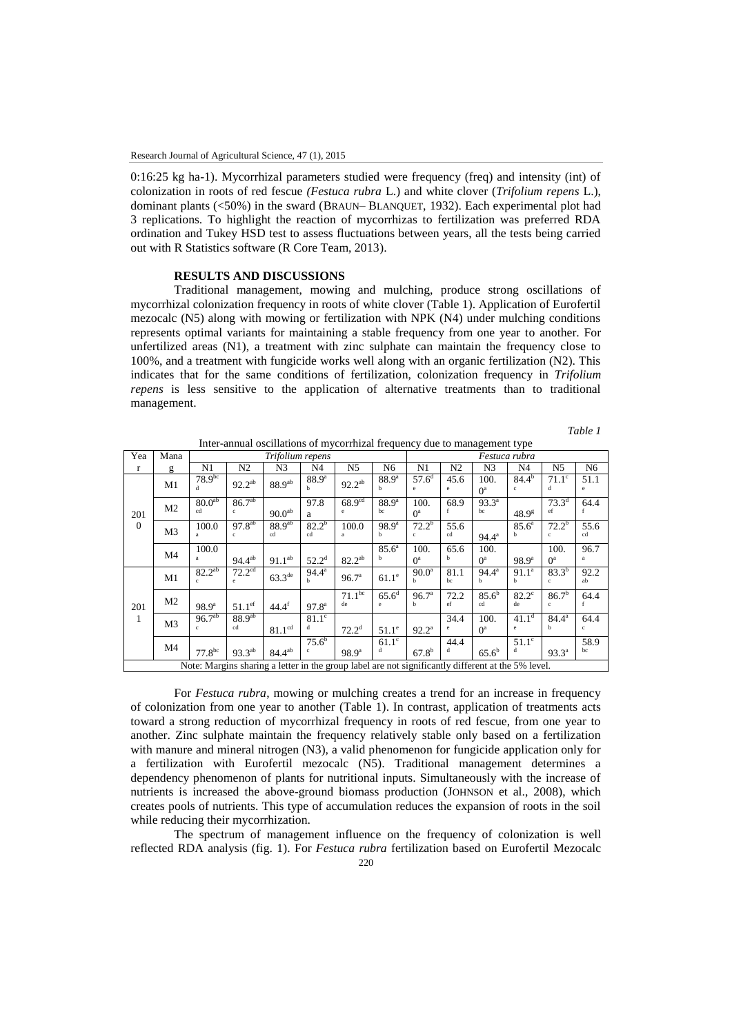0:16:25 kg ha-1). Mycorrhizal parameters studied were frequency (freq) and intensity (int) of colonization in roots of red fescue *(Festuca rubra* L.) and white clover (*Trifolium repens* L.), dominant plants (<50%) in the sward (BRAUN– BLANQUET, 1932). Each experimental plot had 3 replications. To highlight the reaction of mycorrhizas to fertilization was preferred RDA ordination and Tukey HSD test to assess fluctuations between years, all the tests being carried out with R Statistics software (R Core Team, 2013).

### **RESULTS AND DISCUSSIONS**

Traditional management, mowing and mulching, produce strong oscillations of mycorrhizal colonization frequency in roots of white clover (Table 1). Application of Eurofertil mezocalc (N5) along with mowing or fertilization with NPK (N4) under mulching conditions represents optimal variants for maintaining a stable frequency from one year to another. For unfertilized areas (N1), a treatment with zinc sulphate can maintain the frequency close to 100%, and a treatment with fungicide works well along with an organic fertilization (N2). This indicates that for the same conditions of fertilization, colonization frequency in *Trifolium repens* is less sensitive to the application of alternative treatments than to traditional management.

| ani |  |
|-----|--|
|     |  |

| Inter-annual oscillations of mycorrhizal frequency due to management type                          |                |                             |                                        |                          |                               |                         |                      |                        |                |                        |                                   |                            |                |  |
|----------------------------------------------------------------------------------------------------|----------------|-----------------------------|----------------------------------------|--------------------------|-------------------------------|-------------------------|----------------------|------------------------|----------------|------------------------|-----------------------------------|----------------------------|----------------|--|
| Yea                                                                                                | Mana           | Trifolium repens            |                                        |                          |                               |                         |                      |                        | Festuca rubra  |                        |                                   |                            |                |  |
| $\mathbf{r}$                                                                                       | g              | N1                          | N <sub>2</sub>                         | N3                       | N <sub>4</sub>                | N <sub>5</sub>          | N <sub>6</sub>       | N1                     | N <sub>2</sub> | N <sub>3</sub>         | N <sub>4</sub>                    | N <sub>5</sub>             | N <sub>6</sub> |  |
| 201<br>$\mathbf{0}$                                                                                | M1             | 78.9 <sup>bc</sup><br>d     | $92.2^{ab}$                            | $88.9^{ab}$              | $88.9^{a}$<br>b               | $92.2^{ab}$             | $88.9^{\circ}$<br>ь  | $57.6^{\rm d}$<br>e.   | 45.6<br>e      | 100.<br>O <sup>a</sup> | $84.4^{b}$<br>$\mathbf{c}$        | $71.1^\circ$<br>d          | 51.1<br>e      |  |
|                                                                                                    | M <sub>2</sub> | 80.0 <sup>ab</sup><br>cd    | $86.\overline{7^{ab}}$<br>$\mathbf{c}$ | $90.0^{ab}$              | 97.8<br>a                     | 68.9 <sup>cd</sup><br>e | $88.9^{\circ}$<br>bc | 100.<br>O <sup>a</sup> | 68.9           | $93.3^{\circ}$<br>bc   | 48.9 <sup>g</sup>                 | $73.3^{d}$<br>ef           | 64.4           |  |
|                                                                                                    | M <sub>3</sub> | 100.0<br>$\mathbf{a}$       | $97.8^{ab}$<br>c.                      | 88.9 <sup>ab</sup><br>cd | $82.2^{b}$<br>cd              | 100.0<br>a              | $98.9^{\rm a}$<br>h  | $72.2^b$<br>C.         | 55.6<br>cd     | $94.4^{\circ}$         | $85.6^{\circ}$<br>h               | $72.2^b$<br>c.             | 55.6<br>cd     |  |
|                                                                                                    | M <sub>4</sub> | 100.0<br>a                  | $94.4^{ab}$                            | $91.1^{ab}$              | $52.2^{\rm d}$                | $82.2^{ab}$             | $85.6^{\circ}$<br>h  | 100.<br>O <sup>a</sup> | 65.6<br>h      | 100.<br>O <sup>a</sup> | $98.9^{\rm a}$                    | 100.<br>O <sup>a</sup>     | 96.7<br>a      |  |
| 201<br>1                                                                                           | M1             | $82.2^{ab}$<br>$\mathbf{c}$ | 72.2 <sup>cd</sup><br>e.               | $63.3^{\text{de}}$       | $94.4^{\rm a}$<br>h           | 96.7 <sup>a</sup>       | $61.1^e$             | $90.0^{\circ}$<br>h.   | 81.1<br>bc     | $94.4^{\circ}$<br>h    | 91.1 <sup>a</sup><br>$\mathbf{h}$ | $83.3^{b}$<br>c            | 92.2<br>ab     |  |
|                                                                                                    | M <sub>2</sub> | $98.9^{a}$                  | $51.1$ <sup>ef</sup>                   | $44.4^{\text{f}}$        | 97.8 <sup>a</sup>             | $71.1^{bc}$<br>de       | $65.6^d$<br>e.       | 96.7 <sup>a</sup><br>h | 72.2<br>ef     | $85.6^{b}$<br>cd       | $82.2^\circ$<br>de                | $86.7^{b}$<br>$\mathbf{c}$ | 64.4           |  |
|                                                                                                    | M <sub>3</sub> | $96.7^{ab}$<br>$\mathbf{c}$ | 88.9 <sup>ab</sup><br>cd               | 81.1 <sup>cd</sup>       | $81.1^\circ$<br>d             | $72.2^{\rm d}$          | $51.1^\circ$         | $92.2^{\circ}$         | 34.4<br>e      | 100.<br>O <sup>a</sup> | 41.1 <sup>d</sup><br>e.           | $84.4^{\circ}$<br>b.       | 64.4<br>c      |  |
|                                                                                                    | M4             | 77.8 <sup>bc</sup>          | $93.3^{ab}$                            | $84.4^{ab}$              | $75.6^{\rm b}$<br>$\mathbf c$ | $98.9^{a}$              | $61.1^\circ$<br>d    | $67.8^{b}$             | 44.4<br>d      | $65.6^{\rm b}$         | $51.1^\circ$<br>d                 | $93.3^{\circ}$             | 58.9<br>bc     |  |
| Note: Margins sharing a letter in the group label are not significantly different at the 5% level. |                |                             |                                        |                          |                               |                         |                      |                        |                |                        |                                   |                            |                |  |

For *Festuca rubra*, mowing or mulching creates a trend for an increase in frequency of colonization from one year to another (Table 1). In contrast, application of treatments acts toward a strong reduction of mycorrhizal frequency in roots of red fescue, from one year to another. Zinc sulphate maintain the frequency relatively stable only based on a fertilization with manure and mineral nitrogen (N3), a valid phenomenon for fungicide application only for a fertilization with Eurofertil mezocalc (N5). Traditional management determines a dependency phenomenon of plants for nutritional inputs. Simultaneously with the increase of nutrients is increased the above-ground biomass production (JOHNSON et al., 2008), which creates pools of nutrients. This type of accumulation reduces the expansion of roots in the soil while reducing their mycorrhization.

The spectrum of management influence on the frequency of colonization is well reflected RDA analysis (fig. 1). For *Festuca rubra* fertilization based on Eurofertil Mezocalc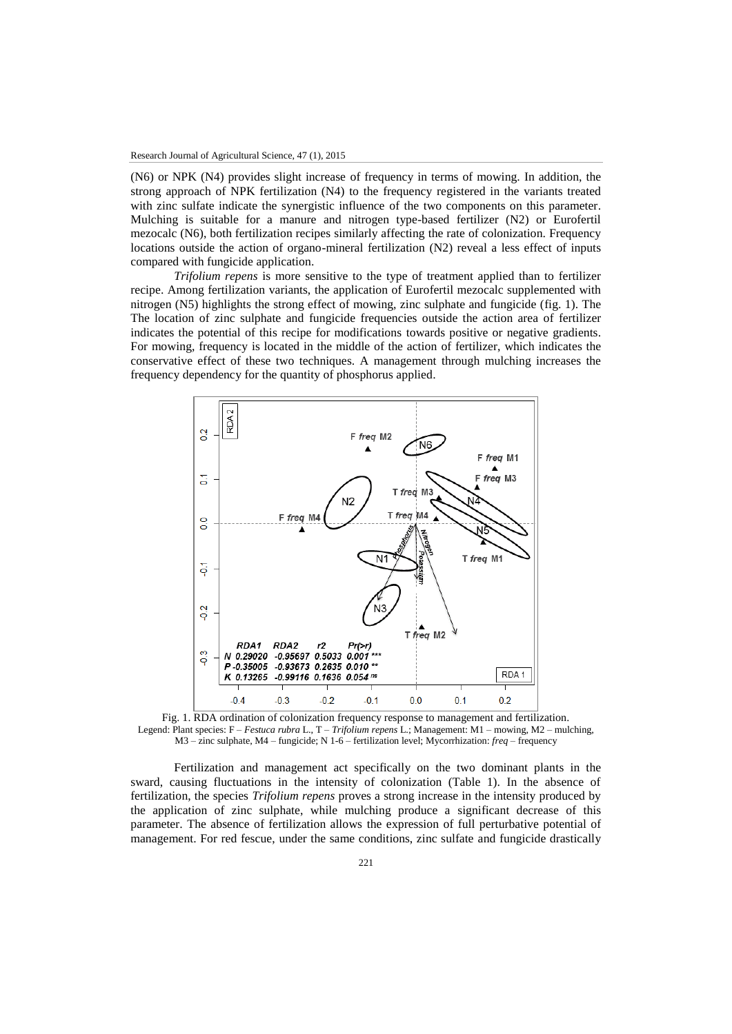(N6) or NPK (N4) provides slight increase of frequency in terms of mowing. In addition, the strong approach of NPK fertilization (N4) to the frequency registered in the variants treated with zinc sulfate indicate the synergistic influence of the two components on this parameter. Mulching is suitable for a manure and nitrogen type-based fertilizer (N2) or Eurofertil mezocalc (N6), both fertilization recipes similarly affecting the rate of colonization. Frequency locations outside the action of organo-mineral fertilization (N2) reveal a less effect of inputs compared with fungicide application.

*Trifolium repens* is more sensitive to the type of treatment applied than to fertilizer recipe. Among fertilization variants, the application of Eurofertil mezocalc supplemented with nitrogen (N5) highlights the strong effect of mowing, zinc sulphate and fungicide (fig. 1). The The location of zinc sulphate and fungicide frequencies outside the action area of fertilizer indicates the potential of this recipe for modifications towards positive or negative gradients. For mowing, frequency is located in the middle of the action of fertilizer, which indicates the conservative effect of these two techniques. A management through mulching increases the frequency dependency for the quantity of phosphorus applied.



Fig. 1. RDA ordination of colonization frequency response to management and fertilization. Legend: Plant species: F – *Festuca rubra* L., T – *Trifolium repens* L.; Management: M1 – mowing, M2 – mulching, M3 – zinc sulphate, M4 – fungicide; N 1-6 – fertilization level; Mycorrhization: *freq* – frequency

Fertilization and management act specifically on the two dominant plants in the sward, causing fluctuations in the intensity of colonization (Table 1). In the absence of fertilization, the species *Trifolium repens* proves a strong increase in the intensity produced by the application of zinc sulphate, while mulching produce a significant decrease of this parameter. The absence of fertilization allows the expression of full perturbative potential of management. For red fescue, under the same conditions, zinc sulfate and fungicide drastically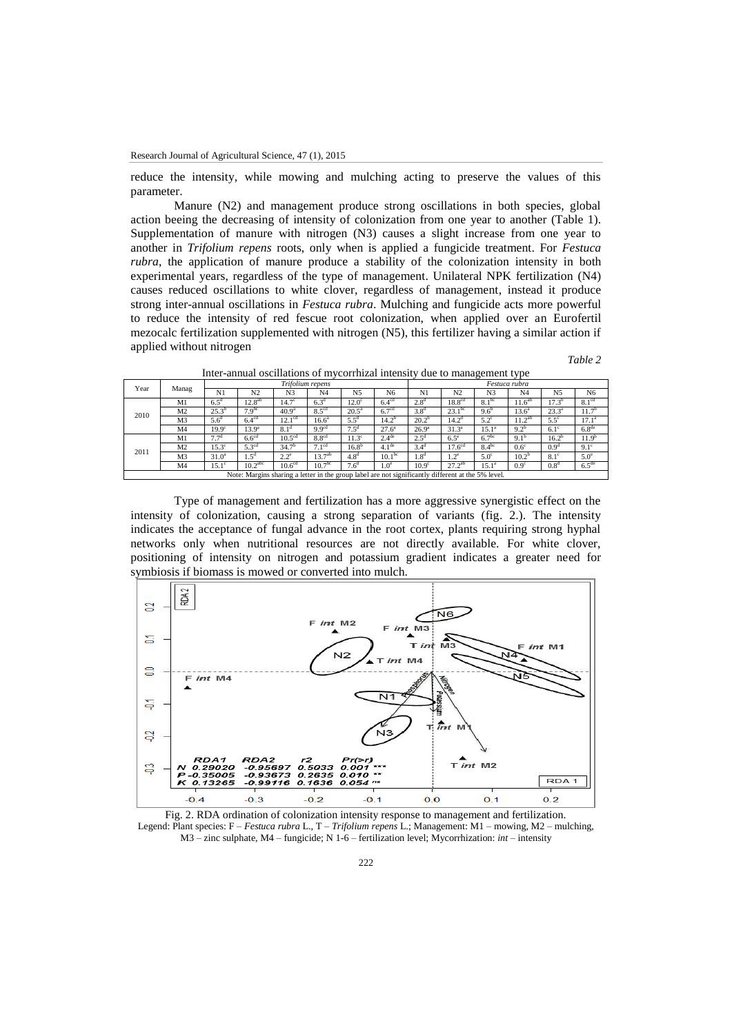reduce the intensity, while mowing and mulching acting to preserve the values of this parameter.

Manure (N2) and management produce strong oscillations in both species, global action beeing the decreasing of intensity of colonization from one year to another (Table 1). Supplementation of manure with nitrogen (N3) causes a slight increase from one year to another in *Trifolium repens* roots, only when is applied a fungicide treatment. For *Festuca rubra*, the application of manure produce a stability of the colonization intensity in both experimental years, regardless of the type of management. Unilateral NPK fertilization (N4) causes reduced oscillations to white clover, regardless of management, instead it produce strong inter-annual oscillations in *Festuca rubra*. Mulching and fungicide acts more powerful to reduce the intensity of red fescue root colonization, when applied over an Eurofertil mezocalc fertilization supplemented with nitrogen (N5), this fertilizer having a similar action if applied without nitrogen

*Table 2*

| Year                                                                                               | Manag          | Trifolium repens   |                     |                    |                    |                   |                    |                   | Festuca rubra      |                   |                  |                  |                   |  |  |
|----------------------------------------------------------------------------------------------------|----------------|--------------------|---------------------|--------------------|--------------------|-------------------|--------------------|-------------------|--------------------|-------------------|------------------|------------------|-------------------|--|--|
|                                                                                                    |                | N1                 | N <sub>2</sub>      | N <sub>3</sub>     | N <sub>4</sub>     | N <sub>5</sub>    | N6                 | N1                | N <sub>2</sub>     | N <sub>3</sub>    | N <sub>4</sub>   | N <sub>5</sub>   | N <sub>6</sub>    |  |  |
| 2010                                                                                               | M1             | $6.5^{\mathrm{d}}$ | $12.8^{ab}$         | 14.7 <sup>c</sup>  | 6.3 <sup>d</sup>   | $12.0^\circ$      | $6.4^{\text{cd}}$  | 2.8 <sup>d</sup>  | 18.8 <sup>cd</sup> | $8.1^{bc}$        | $11.6^{ab}$      | $17.3^{b}$       | 8.1 <sup>cd</sup> |  |  |
|                                                                                                    | M <sub>2</sub> | $25.3^{b}$         | 7.9 <sup>bc</sup>   | 40.9 <sup>a</sup>  | 8.5 <sup>cd</sup>  | $20.5^a$          | 6.7 <sup>cd</sup>  | 3.8 <sup>d</sup>  | $23.1^{bc}$        | 9.6 <sup>b</sup>  | $13.6^{\circ}$   | $23.3^{a}$       | 11.7 <sup>b</sup> |  |  |
|                                                                                                    | M <sub>3</sub> | 5.6 <sup>d</sup>   | 6.4 <sup>cd</sup>   | 12.1 <sup>cd</sup> | $16.6^{\circ}$     | $5.5^{\rm d}$     | 14.2 <sup>b</sup>  | 20.2 <sup>b</sup> | 14.2 <sup>d</sup>  | $5.2^{\circ}$     | $11.2^{ab}$      | $5.5^\circ$      | 17.1 <sup>a</sup> |  |  |
|                                                                                                    | M <sub>4</sub> | 19.9 <sup>c</sup>  | 13.9 <sup>a</sup>   | 8.1 <sup>d</sup>   | 9.9 <sup>cd</sup>  | $7.5^{\rm d}$     | $27.6^a$           | $26.9^{\rm a}$    | 31.3 <sup>a</sup>  | $15.1^{\rm a}$    | $9.2^{b}$        | $6.1^\circ$      | 6.8 <sup>de</sup> |  |  |
| 2011                                                                                               | M1             | $7.7^{\rm d}$      | 6.6 <sup>cd</sup>   | 10.5 <sup>cd</sup> | 8.8 <sup>cd</sup>  | 11.3 <sup>c</sup> | 2.4 <sup>de</sup>  | $2.5^{\circ}$     | $6.5^{\circ}$      | 6.7 <sup>bc</sup> | $9.1^{b}$        | $16.2^{b}$       | 11.9 <sup>b</sup> |  |  |
|                                                                                                    | M <sub>2</sub> | $15.3^\circ$       | 5.3 <sup>cd</sup>   | 34.7 <sup>b</sup>  | 7.1 <sup>cd</sup>  | $16.8^{b}$        | 4.1 <sup>de</sup>  | 3.4 <sup>d</sup>  | 17.6 <sup>cd</sup> | $8.4^{bc}$        | 0.6 <sup>c</sup> | 0.9 <sup>d</sup> | $9.1^\circ$       |  |  |
|                                                                                                    | M <sub>3</sub> | $31.0^a$           | 1.5 <sup>d</sup>    | $2.2^{\circ}$      | $13.7^{ab}$        | 4.8 <sup>d</sup>  | 10.1 <sup>bc</sup> | 1.8 <sup>d</sup>  | $1.2^e$            | $5.0^\circ$       | $10.2^{b}$       | $8.1^\circ$      | $5.0^\circ$       |  |  |
|                                                                                                    | M <sub>4</sub> | $15.1^\circ$       | 10.2 <sup>abc</sup> | 10.6 <sup>cd</sup> | 10.7 <sup>bc</sup> | 7.6 <sup>d</sup>  | 1.0 <sup>e</sup>   | 10.9 <sup>c</sup> | $27.2^{ab}$        | $15.1^{\circ}$    | 0.9 <sup>c</sup> | 0.8 <sup>d</sup> | $6.5^{\text{de}}$ |  |  |
| Note: Margins sharing a letter in the group label are not significantly different at the 5% level. |                |                    |                     |                    |                    |                   |                    |                   |                    |                   |                  |                  |                   |  |  |

Inter-annual oscillations of mycorrhizal intensity due to management type

Type of management and fertilization has a more aggressive synergistic effect on the intensity of colonization, causing a strong separation of variants (fig. 2.). The intensity indicates the acceptance of fungal advance in the root cortex, plants requiring strong hyphal networks only when nutritional resources are not directly available. For white clover, positioning of intensity on nitrogen and potassium gradient indicates a greater need for symbiosis if biomass is mowed or converted into mulch.



Fig. 2. RDA ordination of colonization intensity response to management and fertilization. Legend: Plant species: F – *Festuca rubra* L., T – *Trifolium repens* L.; Management: M1 – mowing, M2 – mulching, M3 – zinc sulphate, M4 – fungicide; N 1-6 – fertilization level; Mycorrhization: *int* – intensity